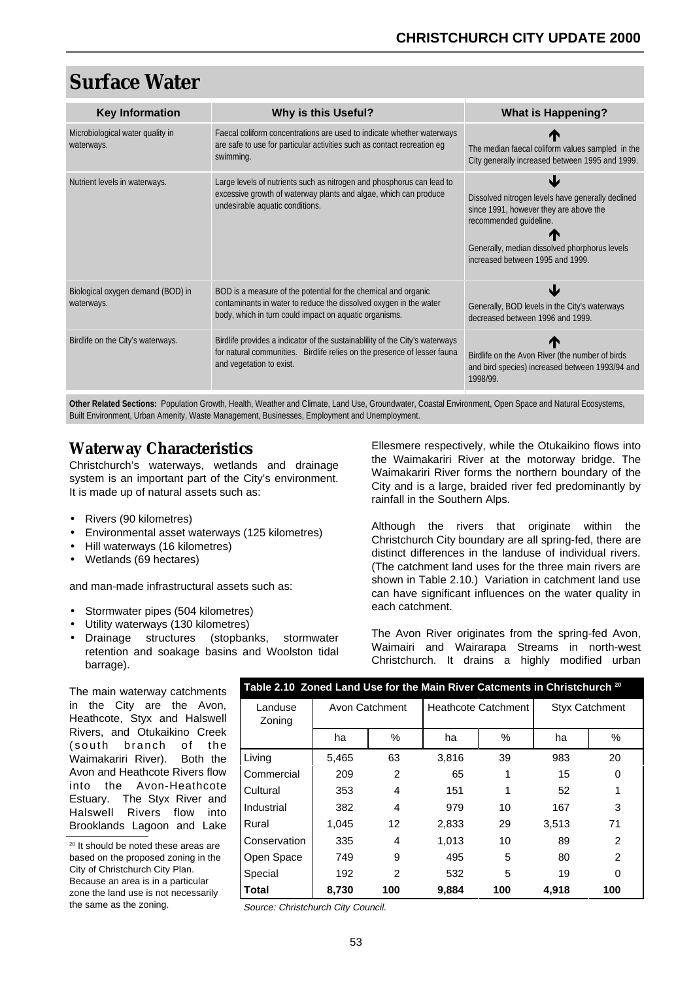# **Surface Water**

| <b>Key Information</b>                          | <b>Why is this Useful?</b>                                                                                                                                                                    | <b>What is Happening?</b>                                                                                                                                                                                  |
|-------------------------------------------------|-----------------------------------------------------------------------------------------------------------------------------------------------------------------------------------------------|------------------------------------------------------------------------------------------------------------------------------------------------------------------------------------------------------------|
| Microbiological water quality in<br>waterways.  | Faecal coliform concentrations are used to indicate whether waterways<br>are safe to use for particular activities such as contact recreation eq<br>swimming.                                 | The median faecal coliform values sampled in the<br>City generally increased between 1995 and 1999.                                                                                                        |
| Nutrient levels in waterways.                   | Large levels of nutrients such as nitrogen and phosphorus can lead to<br>excessive growth of waterway plants and algae, which can produce<br>undesirable aquatic conditions.                  | Dissolved nitrogen levels have generally declined<br>since 1991, however they are above the<br>recommended quideline.<br>Generally, median dissolved phorphorus levels<br>increased between 1995 and 1999. |
| Biological oxygen demand (BOD) in<br>waterways. | BOD is a measure of the potential for the chemical and organic<br>contaminants in water to reduce the dissolved oxygen in the water<br>body, which in turn could impact on aquatic organisms. | N.<br>Generally, BOD levels in the City's waterways<br>decreased between 1996 and 1999.                                                                                                                    |
| Birdlife on the City's waterways.               | Birdlife provides a indicator of the sustainability of the City's waterways<br>for natural communities. Birdlife relies on the presence of lesser fauna<br>and vegetation to exist.           | Birdlife on the Avon River (the number of birds<br>and bird species) increased between 1993/94 and<br>1998/99.                                                                                             |

**Other Related Sections:** Population Growth, Health, Weather and Climate, Land Use, Groundwater, Coastal Environment, Open Space and Natural Ecosystems, Built Environment, Urban Amenity, Waste Management, Businesses, Employment and Unemployment.

### **Waterway Characteristics**

Christchurch's waterways, wetlands and drainage system is an important part of the City's environment. It is made up of natural assets such as:

- Rivers (90 kilometres)
- Environmental asset waterways (125 kilometres)
- Hill waterways (16 kilometres)
- Wetlands (69 hectares)

and man-made infrastructural assets such as:

- Stormwater pipes (504 kilometres)
- Utility waterways (130 kilometres)
- Drainage structures (stopbanks, stormwater retention and soakage basins and Woolston tidal barrage).

Ellesmere respectively, while the Otukaikino flows into the Waimakariri River at the motorway bridge. The Waimakariri River forms the northern boundary of the City and is a large, braided river fed predominantly by rainfall in the Southern Alps.

Although the rivers that originate within the Christchurch City boundary are all spring-fed, there are distinct differences in the landuse of individual rivers. (The catchment land uses for the three main rivers are shown in Table 2.10.) Variation in catchment land use can have significant influences on the water quality in each catchment.

The Avon River originates from the spring-fed Avon, Waimairi and Wairarapa Streams in north-west Christchurch. It drains a highly modified urban

The main waterway catchments in the City are the Avon, Heathcote, Styx and Halswell Rivers, and Otukaikino Creek (south branch of the Waimakariri River). Both the Avon and Heathcote Rivers flow into the Avon-Heathcote Estuary. The Styx River and Halswell Rivers flow into Brooklands Lagoon and Lake

<sup>20</sup> It should be noted these areas are based on the proposed zoning in the City of Christchurch City Plan. Because an area is in a particular zone the land use is not necessarily the same as the zoning.

| Table 2.10 $\,$ Zoned Land Use for the Main River Catcments in Christchurch $^{20}$ |                |                   |                            |     |                       |     |  |
|-------------------------------------------------------------------------------------|----------------|-------------------|----------------------------|-----|-----------------------|-----|--|
| Landuse<br>Zoning                                                                   | Avon Catchment |                   | <b>Heathcote Catchment</b> |     | <b>Styx Catchment</b> |     |  |
|                                                                                     | ha             | %                 | ha                         | %   | ha                    | %   |  |
| Living                                                                              | 5,465          | 63                | 3,816                      | 39  | 983                   | 20  |  |
| Commercial                                                                          | 209            | $\overline{2}$    | 65                         | 1   | 15                    | 0   |  |
| Cultural                                                                            | 353            | 4                 | 151                        | 1   | 52                    | 1   |  |
| Industrial                                                                          | 382            | 4                 | 979                        | 10  | 167                   | 3   |  |
| Rural                                                                               | 1,045          | $12 \overline{ }$ | 2,833                      | 29  | 3,513                 | 71  |  |
| Conservation                                                                        | 335            | 4                 | 1,013                      | 10  | 89                    | 2   |  |
| Open Space                                                                          | 749            | 9                 | 495                        | 5   | 80                    | 2   |  |
| Special                                                                             | 192            | 2                 | 532                        | 5   | 19                    | 0   |  |
| <b>Total</b>                                                                        | 8,730          | 100               | 9,884                      | 100 | 4,918                 | 100 |  |

Source: Christchurch City Council.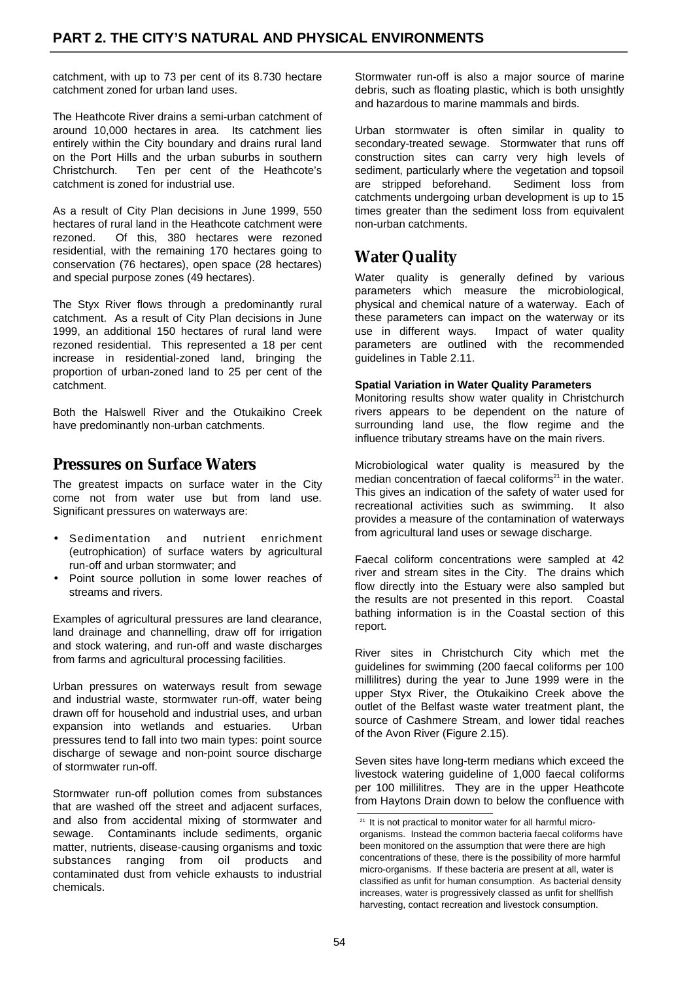catchment, with up to 73 per cent of its 8.730 hectare catchment zoned for urban land uses.

The Heathcote River drains a semi-urban catchment of around 10,000 hectares in area. Its catchment lies entirely within the City boundary and drains rural land on the Port Hills and the urban suburbs in southern Christchurch. Ten per cent of the Heathcote's catchment is zoned for industrial use.

As a result of City Plan decisions in June 1999, 550 hectares of rural land in the Heathcote catchment were rezoned. Of this, 380 hectares were rezoned residential, with the remaining 170 hectares going to conservation (76 hectares), open space (28 hectares) and special purpose zones (49 hectares).

The Styx River flows through a predominantly rural catchment. As a result of City Plan decisions in June 1999, an additional 150 hectares of rural land were rezoned residential. This represented a 18 per cent increase in residential-zoned land, bringing the proportion of urban-zoned land to 25 per cent of the catchment.

Both the Halswell River and the Otukaikino Creek have predominantly non-urban catchments.

### **Pressures on Surface Waters**

The greatest impacts on surface water in the City come not from water use but from land use. Significant pressures on waterways are:

- Sedimentation and nutrient enrichment (eutrophication) of surface waters by agricultural run-off and urban stormwater; and
- Point source pollution in some lower reaches of streams and rivers.

Examples of agricultural pressures are land clearance, land drainage and channelling, draw off for irrigation and stock watering, and run-off and waste discharges from farms and agricultural processing facilities.

Urban pressures on waterways result from sewage and industrial waste, stormwater run-off, water being drawn off for household and industrial uses, and urban expansion into wetlands and estuaries. Urban pressures tend to fall into two main types: point source discharge of sewage and non-point source discharge of stormwater run-off.

Stormwater run-off pollution comes from substances that are washed off the street and adjacent surfaces, and also from accidental mixing of stormwater and sewage. Contaminants include sediments, organic matter, nutrients, disease-causing organisms and toxic substances ranging from oil products and contaminated dust from vehicle exhausts to industrial chemicals.

Stormwater run-off is also a major source of marine debris, such as floating plastic, which is both unsightly and hazardous to marine mammals and birds.

Urban stormwater is often similar in quality to secondary-treated sewage. Stormwater that runs off construction sites can carry very high levels of sediment, particularly where the vegetation and topsoil<br>are stripped beforehand. Sediment loss from are stripped beforehand. catchments undergoing urban development is up to 15 times greater than the sediment loss from equivalent non-urban catchments.

# **Water Quality**

Water quality is generally defined by various parameters which measure the microbiological, physical and chemical nature of a waterway. Each of these parameters can impact on the waterway or its use in different ways. Impact of water quality parameters are outlined with the recommended guidelines in Table 2.11.

#### **Spatial Variation in Water Quality Parameters**

Monitoring results show water quality in Christchurch rivers appears to be dependent on the nature of surrounding land use, the flow regime and the influence tributary streams have on the main rivers.

Microbiological water quality is measured by the median concentration of faecal coliforms<sup>21</sup> in the water. This gives an indication of the safety of water used for recreational activities such as swimming. It also provides a measure of the contamination of waterways from agricultural land uses or sewage discharge.

Faecal coliform concentrations were sampled at 42 river and stream sites in the City. The drains which flow directly into the Estuary were also sampled but the results are not presented in this report. Coastal bathing information is in the Coastal section of this report.

River sites in Christchurch City which met the guidelines for swimming (200 faecal coliforms per 100 millilitres) during the year to June 1999 were in the upper Styx River, the Otukaikino Creek above the outlet of the Belfast waste water treatment plant, the source of Cashmere Stream, and lower tidal reaches of the Avon River (Figure 2.15).

Seven sites have long-term medians which exceed the livestock watering guideline of 1,000 faecal coliforms per 100 millilitres. They are in the upper Heathcote from Haytons Drain down to below the confluence with

 $21$  It is not practical to monitor water for all harmful microorganisms. Instead the common bacteria faecal coliforms have been monitored on the assumption that were there are high concentrations of these, there is the possibility of more harmful micro-organisms. If these bacteria are present at all, water is classified as unfit for human consumption. As bacterial density increases, water is progressively classed as unfit for shellfish harvesting, contact recreation and livestock consumption.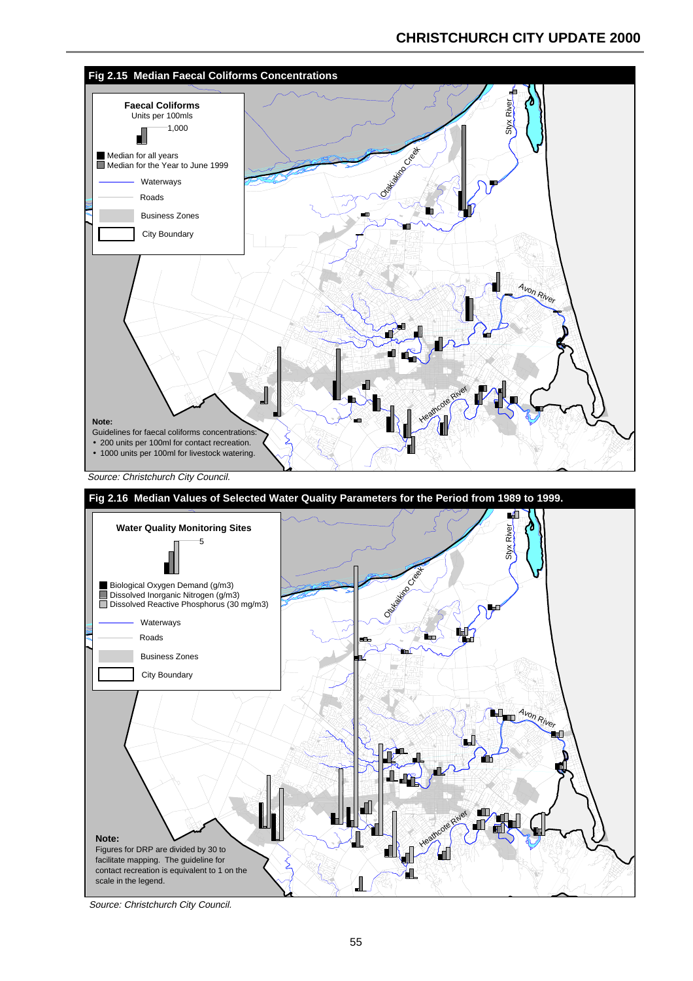### **CHRISTCHURCH CITY UPDATE 2000**



Source: Christchurch City Council.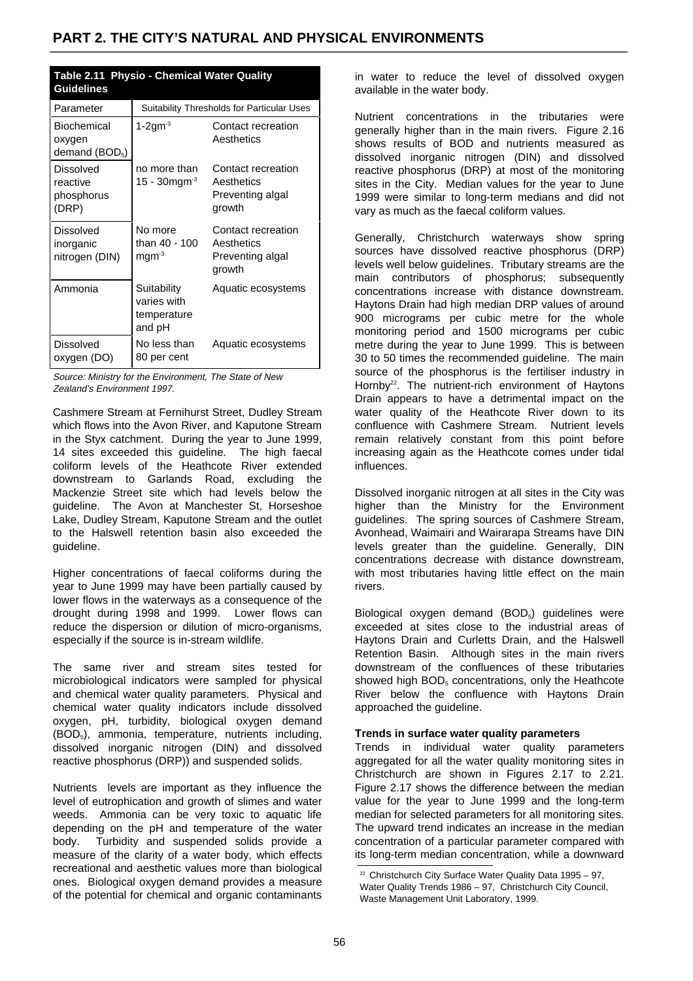| Table 2.11 Physio - Chemical Water Quality<br><b>Guidelines</b> |                                                     |                                                                |  |  |  |  |
|-----------------------------------------------------------------|-----------------------------------------------------|----------------------------------------------------------------|--|--|--|--|
| Parameter                                                       | Suitability Thresholds for Particular Uses          |                                                                |  |  |  |  |
| Biochemical<br>oxygen<br>demand $(BOD5)$                        | 1-2gm $3$                                           | Contact recreation<br>Aesthetics                               |  |  |  |  |
| Dissolved<br>reactive<br>phosphorus<br>(DRP)                    | no more than<br>15 - $30$ mgm $3$                   | Contact recreation<br>Aesthetics<br>Preventing algal<br>growth |  |  |  |  |
| Dissolved<br>inorganic<br>nitrogen (DIN)                        | No more<br>than 40 - 100<br>$mgm-3$                 | Contact recreation<br>Aesthetics<br>Preventing algal<br>growth |  |  |  |  |
| Ammonia                                                         | Suitability<br>varies with<br>temperature<br>and pH | Aquatic ecosystems                                             |  |  |  |  |
| Dissolved<br>oxygen (DO)                                        | No less than<br>80 per cent                         | Aquatic ecosystems                                             |  |  |  |  |

Source: Ministry for the Environment, The State of New Zealand's Environment 1997.

Cashmere Stream at Fernihurst Street, Dudley Stream which flows into the Avon River, and Kaputone Stream in the Styx catchment. During the year to June 1999, 14 sites exceeded this guideline. The high faecal coliform levels of the Heathcote River extended downstream to Garlands Road, excluding the Mackenzie Street site which had levels below the guideline. The Avon at Manchester St, Horseshoe Lake, Dudley Stream, Kaputone Stream and the outlet to the Halswell retention basin also exceeded the guideline.

Higher concentrations of faecal coliforms during the year to June 1999 may have been partially caused by lower flows in the waterways as a consequence of the drought during 1998 and 1999. Lower flows can reduce the dispersion or dilution of micro-organisms, especially if the source is in-stream wildlife.

The same river and stream sites tested for microbiological indicators were sampled for physical and chemical water quality parameters. Physical and chemical water quality indicators include dissolved oxygen, pH, turbidity, biological oxygen demand (BOD5), ammonia, temperature, nutrients including, dissolved inorganic nitrogen (DIN) and dissolved reactive phosphorus (DRP)) and suspended solids.

Nutrients levels are important as they influence the level of eutrophication and growth of slimes and water weeds. Ammonia can be very toxic to aquatic life depending on the pH and temperature of the water body. Turbidity and suspended solids provide a measure of the clarity of a water body, which effects recreational and aesthetic values more than biological ones. Biological oxygen demand provides a measure of the potential for chemical and organic contaminants

in water to reduce the level of dissolved oxygen available in the water body.

Nutrient concentrations in the tributaries were generally higher than in the main rivers. Figure 2.16 shows results of BOD and nutrients measured as dissolved inorganic nitrogen (DIN) and dissolved reactive phosphorus (DRP) at most of the monitoring sites in the City. Median values for the year to June 1999 were similar to long-term medians and did not vary as much as the faecal coliform values.

Generally, Christchurch waterways show spring sources have dissolved reactive phosphorus (DRP) levels well below guidelines. Tributary streams are the main contributors of phosphorus; subsequently concentrations increase with distance downstream. Haytons Drain had high median DRP values of around 900 micrograms per cubic metre for the whole monitoring period and 1500 micrograms per cubic metre during the year to June 1999. This is between 30 to 50 times the recommended guideline. The main source of the phosphorus is the fertiliser industry in Hornby<sup>22</sup>. The nutrient-rich environment of Haytons Drain appears to have a detrimental impact on the water quality of the Heathcote River down to its confluence with Cashmere Stream. Nutrient levels remain relatively constant from this point before increasing again as the Heathcote comes under tidal influences.

Dissolved inorganic nitrogen at all sites in the City was higher than the Ministry for the Environment guidelines. The spring sources of Cashmere Stream, Avonhead, Waimairi and Wairarapa Streams have DIN levels greater than the guideline. Generally, DIN concentrations decrease with distance downstream, with most tributaries having little effect on the main rivers.

Biological oxygen demand (BOD<sub>5</sub>) guidelines were exceeded at sites close to the industrial areas of Haytons Drain and Curletts Drain, and the Halswell Retention Basin. Although sites in the main rivers downstream of the confluences of these tributaries showed high  $BOD<sub>5</sub>$  concentrations, only the Heathcote River below the confluence with Haytons Drain approached the guideline.

#### **Trends in surface water quality parameters**

Trends in individual water quality parameters aggregated for all the water quality monitoring sites in Christchurch are shown in Figures 2.17 to 2.21. Figure 2.17 shows the difference between the median value for the year to June 1999 and the long-term median for selected parameters for all monitoring sites. The upward trend indicates an increase in the median concentration of a particular parameter compared with its long-term median concentration, while a downward

<sup>&</sup>lt;sup>22</sup> Christchurch City Surface Water Quality Data 1995 – 97, Water Quality Trends 1986 – 97, Christchurch City Council, Waste Management Unit Laboratory, 1999.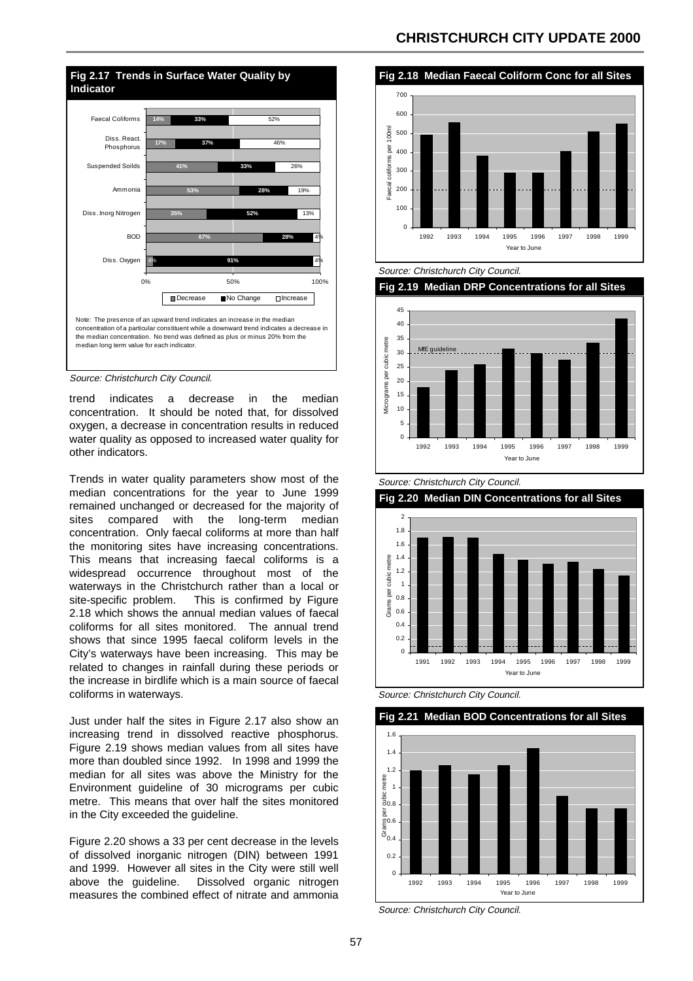

Source: Christchurch City Council.

trend indicates a decrease in the median concentration. It should be noted that, for dissolved oxygen, a decrease in concentration results in reduced water quality as opposed to increased water quality for other indicators.

Trends in water quality parameters show most of the median concentrations for the year to June 1999 remained unchanged or decreased for the majority of sites compared with the long-term median concentration. Only faecal coliforms at more than half the monitoring sites have increasing concentrations. This means that increasing faecal coliforms is a widespread occurrence throughout most of the waterways in the Christchurch rather than a local or site-specific problem. This is confirmed by Figure 2.18 which shows the annual median values of faecal coliforms for all sites monitored. The annual trend shows that since 1995 faecal coliform levels in the City's waterways have been increasing. This may be related to changes in rainfall during these periods or the increase in birdlife which is a main source of faecal coliforms in waterways.

Just under half the sites in Figure 2.17 also show an increasing trend in dissolved reactive phosphorus. Figure 2.19 shows median values from all sites have more than doubled since 1992. In 1998 and 1999 the median for all sites was above the Ministry for the Environment guideline of 30 micrograms per cubic metre. This means that over half the sites monitored in the City exceeded the guideline.

Figure 2.20 shows a 33 per cent decrease in the levels of dissolved inorganic nitrogen (DIN) between 1991 and 1999. However all sites in the City were still well above the guideline. Dissolved organic nitrogen measures the combined effect of nitrate and ammonia

### **CHRISTCHURCH CITY UPDATE 2000**





Source: Christchurch City Council.





Source: Christchurch City Council.

**Fig 2.20 Median DIN Concentrations for all Sites** 



Source: Christchurch City Council.



Source: Christchurch City Council.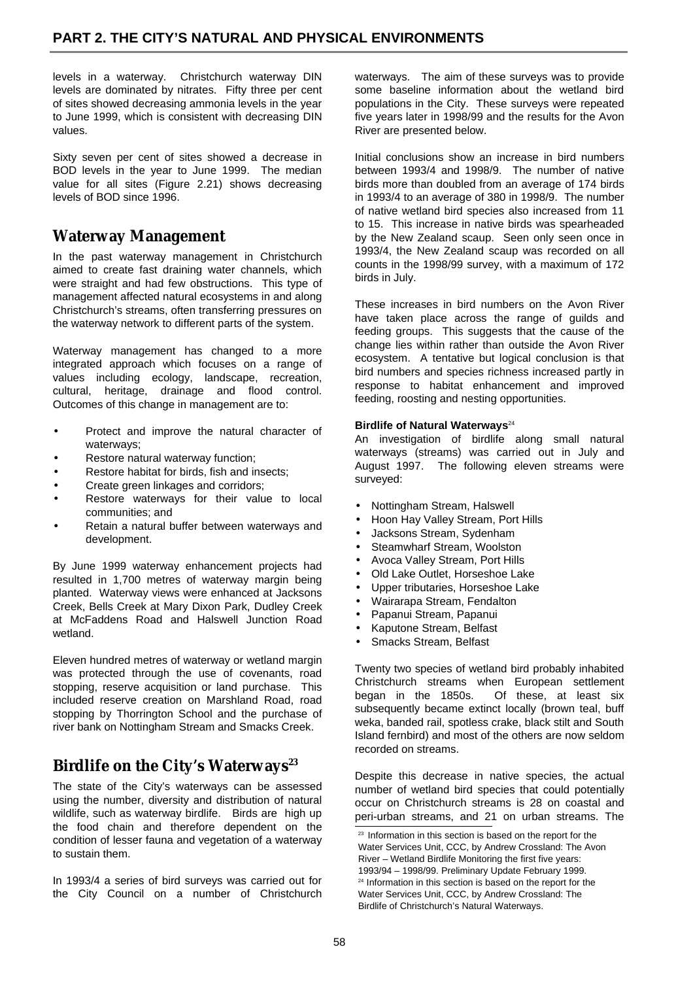levels in a waterway. Christchurch waterway DIN levels are dominated by nitrates. Fifty three per cent of sites showed decreasing ammonia levels in the year to June 1999, which is consistent with decreasing DIN values.

Sixty seven per cent of sites showed a decrease in BOD levels in the year to June 1999. The median value for all sites (Figure 2.21) shows decreasing levels of BOD since 1996.

## **Waterway Management**

In the past waterway management in Christchurch aimed to create fast draining water channels, which were straight and had few obstructions. This type of management affected natural ecosystems in and along Christchurch's streams, often transferring pressures on the waterway network to different parts of the system.

Waterway management has changed to a more integrated approach which focuses on a range of values including ecology, landscape, recreation, cultural, heritage, drainage and flood control. Outcomes of this change in management are to:

- Protect and improve the natural character of waterways;
- Restore natural waterway function;
- Restore habitat for birds, fish and insects;
- Create green linkages and corridors;
- Restore waterways for their value to local communities; and
- Retain a natural buffer between waterways and development.

By June 1999 waterway enhancement projects had resulted in 1,700 metres of waterway margin being planted. Waterway views were enhanced at Jacksons Creek, Bells Creek at Mary Dixon Park, Dudley Creek at McFaddens Road and Halswell Junction Road wetland.

Eleven hundred metres of waterway or wetland margin was protected through the use of covenants, road stopping, reserve acquisition or land purchase. This included reserve creation on Marshland Road, road stopping by Thorrington School and the purchase of river bank on Nottingham Stream and Smacks Creek.

### **Birdlife on the City's Waterways**<sup>23</sup>

The state of the City's waterways can be assessed using the number, diversity and distribution of natural wildlife, such as waterway birdlife. Birds are high up the food chain and therefore dependent on the condition of lesser fauna and vegetation of a waterway to sustain them.

In 1993/4 a series of bird surveys was carried out for the City Council on a number of Christchurch waterways. The aim of these surveys was to provide some baseline information about the wetland bird populations in the City. These surveys were repeated five years later in 1998/99 and the results for the Avon River are presented below.

Initial conclusions show an increase in bird numbers between 1993/4 and 1998/9. The number of native birds more than doubled from an average of 174 birds in 1993/4 to an average of 380 in 1998/9. The number of native wetland bird species also increased from 11 to 15. This increase in native birds was spearheaded by the New Zealand scaup. Seen only seen once in 1993/4, the New Zealand scaup was recorded on all counts in the 1998/99 survey, with a maximum of 172 birds in July.

These increases in bird numbers on the Avon River have taken place across the range of guilds and feeding groups. This suggests that the cause of the change lies within rather than outside the Avon River ecosystem. A tentative but logical conclusion is that bird numbers and species richness increased partly in response to habitat enhancement and improved feeding, roosting and nesting opportunities.

#### **Birdlife of Natural Waterways**<sup>24</sup>

An investigation of birdlife along small natural waterways (streams) was carried out in July and August 1997. The following eleven streams were surveyed:

- Nottingham Stream, Halswell
- Hoon Hay Valley Stream, Port Hills
- Jacksons Stream, Sydenham
- Steamwharf Stream, Woolston
- Avoca Valley Stream, Port Hills
- Old Lake Outlet, Horseshoe Lake
- Upper tributaries, Horseshoe Lake
- Wairarapa Stream, Fendalton
- Papanui Stream, Papanui
- Kaputone Stream, Belfast
- Smacks Stream, Belfast

Twenty two species of wetland bird probably inhabited Christchurch streams when European settlement began in the 1850s. Of these, at least six subsequently became extinct locally (brown teal, buff weka, banded rail, spotless crake, black stilt and South Island fernbird) and most of the others are now seldom recorded on streams.

Despite this decrease in native species, the actual number of wetland bird species that could potentially occur on Christchurch streams is 28 on coastal and peri-urban streams, and 21 on urban streams. The

<sup>&</sup>lt;sup>23</sup> Information in this section is based on the report for the Water Services Unit, CCC, by Andrew Crossland: The Avon River – Wetland Birdlife Monitoring the first five years: 1993/94 – 1998/99. Preliminary Update February 1999. <sup>24</sup> Information in this section is based on the report for the Water Services Unit, CCC, by Andrew Crossland: The Birdlife of Christchurch's Natural Waterways.